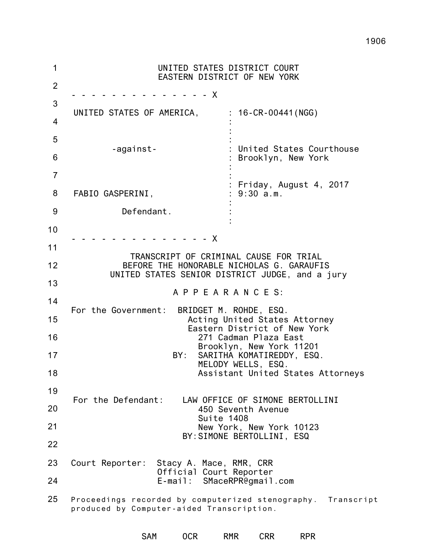1 2 3 4 5 6 7 8 9 10 11 12 13 14 15 16 17 18 19 20 21 22 23 24 25 UNITED STATES DISTRICT COURT EASTERN DISTRICT OF NEW YORK - - - - - - - - - - - - - - X UNITED STATES OF AMERICA, : 16-CR-00441(NGG) -against-FABIO GASPERINI, Defendant. : : : : United States Courthouse : Brooklyn, New York : : : Friday, August 4, 2017 : 9:30 a.m. : : :  $- - - - X$ TRANSCRIPT OF CRIMINAL CAUSE FOR TRIAL BEFORE THE HONORABLE NICHOLAS G. GARAUFIS UNITED STATES SENIOR DISTRICT JUDGE, and a jury A P P E A R A N C E S: For the Government: BRIDGET M. ROHDE, ESQ. Acting United States Attorney Eastern District of New York 271 Cadman Plaza East Brooklyn, New York 11201 BY: SARITHA KOMATIREDDY, ESQ. MELODY WELLS, ESQ. Assistant United States Attorneys For the Defendant: LAW OFFICE OF SIMONE BERTOLLINI 450 Seventh Avenue Suite 1408 New York, New York 10123 BY:SIMONE BERTOLLINI, ESQ Court Reporter: Stacy A. Mace, RMR, CRR Official Court Reporter E-mail: SMaceRPR@gmail.com Proceedings recorded by computerized stenography. Transcript produced by Computer-aided Transcription.

SAM OCR RMR CRR RPR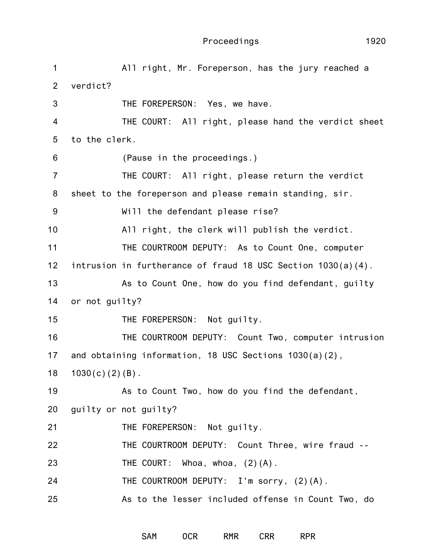| 1              | All right, Mr. Foreperson, has the jury reached a               |
|----------------|-----------------------------------------------------------------|
| 2              | verdict?                                                        |
| 3              | THE FOREPERSON: Yes, we have.                                   |
| $\overline{4}$ | THE COURT: All right, please hand the verdict sheet             |
| 5              | to the clerk.                                                   |
| 6              | (Pause in the proceedings.)                                     |
| $\overline{7}$ | THE COURT: All right, please return the verdict                 |
| 8              | sheet to the foreperson and please remain standing, sir.        |
| 9              | Will the defendant please rise?                                 |
| 10             | All right, the clerk will publish the verdict.                  |
| 11             | THE COURTROOM DEPUTY: As to Count One, computer                 |
| 12             | intrusion in furtherance of fraud 18 USC Section $1030(a)(4)$ . |
| 13             | As to Count One, how do you find defendant, guilty              |
| 14             | or not guilty?                                                  |
| 15             | THE FOREPERSON: Not guilty.                                     |
| 16             | THE COURTROOM DEPUTY: Count Two, computer intrusion             |
| 17             | and obtaining information, 18 USC Sections $1030(a)(2)$ ,       |
| 18             | $1030(c) (2) (B)$ .                                             |
| 19             | As to Count Two, how do you find the defendant,                 |
| 20             | guilty or not guilty?                                           |
| 21             | THE FOREPERSON: Not guilty.                                     |
| 22             | THE COURTROOM DEPUTY: Count Three, wire fraud --                |
| 23             | THE COURT: Whoa, whoa, $(2) (A)$ .                              |
| 24             | THE COURTROOM DEPUTY: I'm sorry, (2)(A).                        |
| 25             | As to the lesser included offense in Count Two, do              |

SAM OCR RMR CRR RPR

1920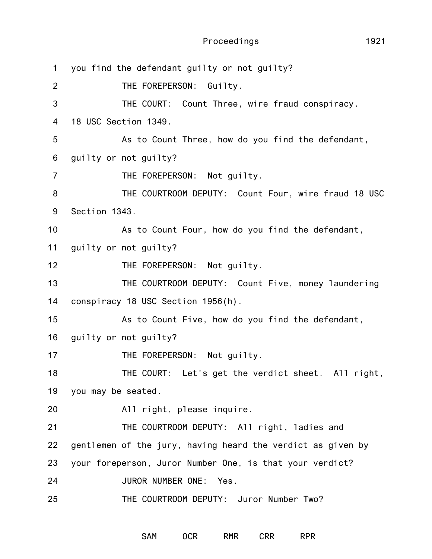Proceedings

1 2 3 4 5 6 7 8 9 10 11 12 13 14 15 16 17 18 19 20 21 22 23 24 25 you find the defendant guilty or not guilty? THE FOREPERSON: Guilty. THE COURT: Count Three, wire fraud conspiracy. 18 USC Section 1349. As to Count Three, how do you find the defendant, guilty or not guilty? THE FOREPERSON: Not guilty. THE COURTROOM DEPUTY: Count Four, wire fraud 18 USC Section 1343. As to Count Four, how do you find the defendant, guilty or not guilty? THE FOREPERSON: Not guilty. THE COURTROOM DEPUTY: Count Five, money laundering conspiracy 18 USC Section 1956(h). As to Count Five, how do you find the defendant, guilty or not guilty? THE FOREPERSON: Not guilty. THE COURT: Let's get the verdict sheet. All right, you may be seated. All right, please inquire. THE COURTROOM DEPUTY: All right, ladies and gentlemen of the jury, having heard the verdict as given by your foreperson, Juror Number One, is that your verdict? JUROR NUMBER ONE: Yes. THE COURTROOM DEPUTY: Juror Number Two?

SAM OCR RMR CRR RPR

1921